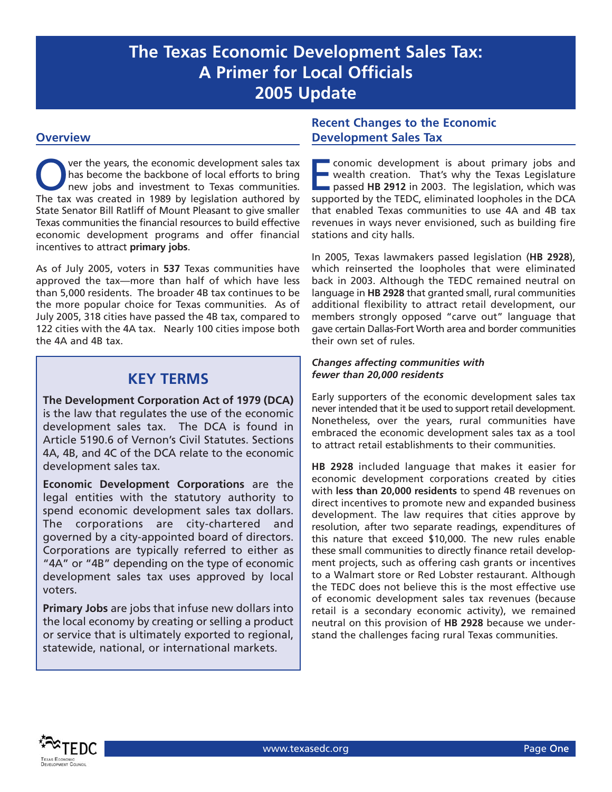# **The Texas Economic Development Sales Tax: A Primer for Local Officials 2005 Update**

### **Overview**

Over the years, the economic development sales tax<br>has become the backbone of local efforts to bring<br>new jobs and investment to Texas communities. has become the backbone of local efforts to bring new jobs and investment to Texas communities. The tax was created in 1989 by legislation authored by State Senator Bill Ratliff of Mount Pleasant to give smaller Texas communities the financial resources to build effective economic development programs and offer financial incentives to attract **primary jobs**.

As of July 2005, voters in **537** Texas communities have approved the tax—more than half of which have less than 5,000 residents. The broader 4B tax continues to be the more popular choice for Texas communities. As of July 2005, 318 cities have passed the 4B tax, compared to 122 cities with the 4A tax. Nearly 100 cities impose both the 4A and 4B tax.

# **KEY TERMS**

**The Development Corporation Act of 1979 (DCA)** is the law that regulates the use of the economic development sales tax. The DCA is found in Article 5190.6 of Vernon's Civil Statutes. Sections 4A, 4B, and 4C of the DCA relate to the economic development sales tax.

**Economic Development Corporations** are the legal entities with the statutory authority to spend economic development sales tax dollars. The corporations are city-chartered and governed by a city-appointed board of directors. Corporations are typically referred to either as "4A" or "4B" depending on the type of economic development sales tax uses approved by local voters.

**Primary Jobs** are jobs that infuse new dollars into the local economy by creating or selling a product or service that is ultimately exported to regional, statewide, national, or international markets.

## **Recent Changes to the Economic Development Sales Tax**

**Exconomic development is about primary jobs and wealth creation. That's why the Texas Legislature** passed **HB 2912** in 2003. The legislation, which was supported by the TEDC, eliminated loopholes in the DCA that enabled Texas communities to use 4A and 4B tax revenues in ways never envisioned, such as building fire stations and city halls.

In 2005, Texas lawmakers passed legislation (**HB 2928**), which reinserted the loopholes that were eliminated back in 2003. Although the TEDC remained neutral on language in **HB 2928** that granted small, rural communities additional flexibility to attract retail development, our members strongly opposed "carve out" language that gave certain Dallas-Fort Worth area and border communities their own set of rules.

#### *Changes affecting communities with fewer than 20,000 residents*

Early supporters of the economic development sales tax never intended that it be used to support retail development. Nonetheless, over the years, rural communities have embraced the economic development sales tax as a tool to attract retail establishments to their communities.

**HB 2928** included language that makes it easier for economic development corporations created by cities with **less than 20,000 residents** to spend 4B revenues on direct incentives to promote new and expanded business development. The law requires that cities approve by resolution, after two separate readings, expenditures of this nature that exceed \$10,000. The new rules enable these small communities to directly finance retail development projects, such as offering cash grants or incentives to a Walmart store or Red Lobster restaurant. Although the TEDC does not believe this is the most effective use of economic development sales tax revenues (because retail is a secondary economic activity), we remained neutral on this provision of **HB 2928** because we understand the challenges facing rural Texas communities.

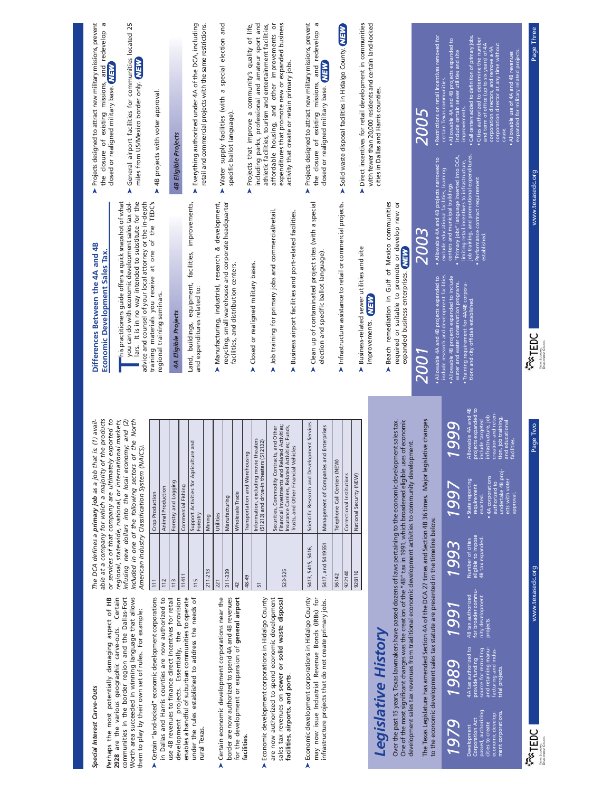| Special Interest Carve-Outs                                                                                                                                                                                                                                                                                                                         |                                                            | The DCA defines a primary job as a job that is: (1) avail-                                                                                                                                                                                                                            | Differences Between the 4A and 4B                                                                                                                                                                                   | > Projects designed to attract new military missions, prevent                                                                                                                                                                                                                     |
|-----------------------------------------------------------------------------------------------------------------------------------------------------------------------------------------------------------------------------------------------------------------------------------------------------------------------------------------------------|------------------------------------------------------------|---------------------------------------------------------------------------------------------------------------------------------------------------------------------------------------------------------------------------------------------------------------------------------------|---------------------------------------------------------------------------------------------------------------------------------------------------------------------------------------------------------------------|-----------------------------------------------------------------------------------------------------------------------------------------------------------------------------------------------------------------------------------------------------------------------------------|
| Certain<br>Perhaps the most potentially damaging aspect of HB<br>2928 are the various geographic carve-outs.                                                                                                                                                                                                                                        |                                                            | or services of that company are ultimately exported to<br>products<br>able at a company for which a majority of the                                                                                                                                                                   | Economic Development Sales Tax.                                                                                                                                                                                     | P<br>the closure of existing missions, and redevelop<br>closed or realigned military base. NEW                                                                                                                                                                                    |
| communities in the border region and the Dallas-Fort<br>Worth area succeeded in winning language that allows                                                                                                                                                                                                                                        |                                                            | regional, statewide, national, or international markets,<br>infusing new dollars into the local economy; and (2)<br>included in one of the following sectors of the North                                                                                                             | lars. It is in no way intended to substitute for the<br>"his practitioners guide offers a quick snapshot of what<br>you can do with economic development sales tax dol-                                             | General airport facilities for communities located 25<br>miles from US/Mexico border only. NEW<br>A                                                                                                                                                                               |
| them to play by their own set of rules. For example:                                                                                                                                                                                                                                                                                                |                                                            | American Industry Classification System (NAICS)                                                                                                                                                                                                                                       | advice and counsel of your local attorney or the in-depth                                                                                                                                                           |                                                                                                                                                                                                                                                                                   |
| Certain "land-locked" economic development corporations<br>À                                                                                                                                                                                                                                                                                        | 111                                                        | Crop Production                                                                                                                                                                                                                                                                       | training materials you receive at one of the TEDC's                                                                                                                                                                 | AB projects with voter approval.                                                                                                                                                                                                                                                  |
| in Dallas and Harris counties are now authorized to                                                                                                                                                                                                                                                                                                 | 112                                                        | Animal Production                                                                                                                                                                                                                                                                     | regional training seminars.                                                                                                                                                                                         |                                                                                                                                                                                                                                                                                   |
| development projects. Essentially, the provision<br>use 4B revenues to finance direct incentives for retail                                                                                                                                                                                                                                         | 113                                                        | Forestry and Logging                                                                                                                                                                                                                                                                  | 4A Eligible Projects                                                                                                                                                                                                | 4B Eligible Projects                                                                                                                                                                                                                                                              |
| enables a handful of suburban communities to operate                                                                                                                                                                                                                                                                                                | 11411                                                      | Commercial Fishing                                                                                                                                                                                                                                                                    |                                                                                                                                                                                                                     |                                                                                                                                                                                                                                                                                   |
| under the rules established to address the needs of                                                                                                                                                                                                                                                                                                 | 115                                                        | g<br>Support Activities for Agriculture a                                                                                                                                                                                                                                             | facilities, improvements,<br>Land, buildings, equipment,                                                                                                                                                            | > Everything authorized under 4A of the DCA, including                                                                                                                                                                                                                            |
| rural Texas.                                                                                                                                                                                                                                                                                                                                        | $211 - 213$                                                | Forestry<br>Mining                                                                                                                                                                                                                                                                    | and expenditures related to:                                                                                                                                                                                        | retail and commercial projects with the same restrictions.                                                                                                                                                                                                                        |
|                                                                                                                                                                                                                                                                                                                                                     |                                                            |                                                                                                                                                                                                                                                                                       |                                                                                                                                                                                                                     |                                                                                                                                                                                                                                                                                   |
| Certain economic development corporations near the<br>A                                                                                                                                                                                                                                                                                             | 311-339<br>221                                             | Manufacturing<br>Utilities                                                                                                                                                                                                                                                            | recycling, small warehouse and corporate headquarter<br>Manufacturing, industrial, research & development,                                                                                                          | > Water supply facilities (with a special election and                                                                                                                                                                                                                            |
| border are now authorized to spend 4A and 4B revenues                                                                                                                                                                                                                                                                                               |                                                            | Wholesale Trade                                                                                                                                                                                                                                                                       | facilities, and distribution centers.                                                                                                                                                                               | specific ballot language).                                                                                                                                                                                                                                                        |
| for the development or expansion of general airport<br>facilities                                                                                                                                                                                                                                                                                   | 48-49<br>42                                                | Transportation and Warehousing                                                                                                                                                                                                                                                        |                                                                                                                                                                                                                     | Projects that improve a community's quality of life,<br>A                                                                                                                                                                                                                         |
|                                                                                                                                                                                                                                                                                                                                                     | 51                                                         | Information, excluding movie theaters                                                                                                                                                                                                                                                 | Closed or realigned military bases.<br>A                                                                                                                                                                            | including parks, professional and amateur sport and                                                                                                                                                                                                                               |
| Economic development corporations in Hidalgo County                                                                                                                                                                                                                                                                                                 |                                                            | (51213) and drive-in theaters (512132)                                                                                                                                                                                                                                                |                                                                                                                                                                                                                     | athletic facilities, tourism and entertainment facilities,                                                                                                                                                                                                                        |
| sales tax revenues on sewer or solid waste disposal<br>are now authorized to spend economic development<br>facilities, airports, and ports.                                                                                                                                                                                                         | 523-525                                                    | Financial Investments and Related Activities;<br>Insurance Carriers, Related Activities; Funds,<br>Securities, Commodity Contracts, and Other<br>Trusts, and Other Financial Vehicles                                                                                                 | > Job training for primary jobs and commercial/retail.<br>Business airport facilities and port-related facilities.<br>A                                                                                             | expenditures that promote new or expanded business<br>affordable housing, and other improvements or<br>activity that create or retain primary jobs.                                                                                                                               |
| may now issue Industrial Revenue Bonds (IRBs) for<br>Economic development corporations in Hidalgo County<br>Â                                                                                                                                                                                                                                       | 5413, 5415, 5416,                                          | Scientific Research and Development Services                                                                                                                                                                                                                                          | Clean up of contaminated project sites (with a special<br>A                                                                                                                                                         | > Projects designed to attract new military missions, prevent<br>the closure of existing missions, and redevelop a                                                                                                                                                                |
| infrastructure projects that do not create primary jobs.                                                                                                                                                                                                                                                                                            | 5417, and 5419551                                          | Management of Companies and Enterprises                                                                                                                                                                                                                                               | election and specific ballot language)                                                                                                                                                                              | closed or realigned military base. MEN                                                                                                                                                                                                                                            |
|                                                                                                                                                                                                                                                                                                                                                     | 56142                                                      | Telephone Call Centers (NEW)                                                                                                                                                                                                                                                          |                                                                                                                                                                                                                     |                                                                                                                                                                                                                                                                                   |
|                                                                                                                                                                                                                                                                                                                                                     | 922140                                                     | Correctional Institutions                                                                                                                                                                                                                                                             | $\blacktriangleright$ Infrastructure assistance to retail or commercial projects.                                                                                                                                   | > Solid waste disposal facilities in Hidalgo County. NEW                                                                                                                                                                                                                          |
|                                                                                                                                                                                                                                                                                                                                                     | 928110                                                     | National Security (NEW)                                                                                                                                                                                                                                                               |                                                                                                                                                                                                                     |                                                                                                                                                                                                                                                                                   |
|                                                                                                                                                                                                                                                                                                                                                     |                                                            |                                                                                                                                                                                                                                                                                       | Business-related sewer utilities and site<br>A                                                                                                                                                                      | Direct incentives for retail development in communities<br>Â                                                                                                                                                                                                                      |
| Legislative History                                                                                                                                                                                                                                                                                                                                 |                                                            |                                                                                                                                                                                                                                                                                       | improvements. NEW                                                                                                                                                                                                   | with fewer than 20,000 residents and certain land-locked<br>cities in Dallas and Harris counties.                                                                                                                                                                                 |
| Over the past 15 years, Texas lawmakers have passed dozens of laws pertaining to the economic development sales tax.<br>development sales tax revenues from traditional economic development activities to community development.<br>One of the most significant changes was the creation of the "48" tax in 1991, which broadened eligible uses of |                                                            | economic                                                                                                                                                                                                                                                                              | Beach remediation in Gulf of Mexico communities<br>required or suitable to promote or develop new or<br>expanded business enterprises. NEW<br>A                                                                     |                                                                                                                                                                                                                                                                                   |
| The Texas Legislature has amended Section 4A of the DCA 27 times and Section 4B 36 times. Major legislative changes                                                                                                                                                                                                                                 |                                                            |                                                                                                                                                                                                                                                                                       | 2003<br>2001                                                                                                                                                                                                        | 2005                                                                                                                                                                                                                                                                              |
| to the economic development sales tax statute are presented in the timeline below.                                                                                                                                                                                                                                                                  |                                                            |                                                                                                                                                                                                                                                                                       | Allowable 4A and 4B projects narrowed<br>Allowable 4A and 4B projects expanded to                                                                                                                                   | Restrictions on retail incentives removed for<br>$\mathsf{S}$                                                                                                                                                                                                                     |
| 1991<br>1989<br>1979                                                                                                                                                                                                                                                                                                                                | 1993                                                       | 999<br>1997                                                                                                                                                                                                                                                                           | exclude educational facilities, learning<br>centers and municipal buildings.<br>include research and development facilities.<br>Allowable 4B projects expanded to include<br>water and water conservation programs. | Allowable 4A and 4B projects expanded to<br>include certain sewer utilities and site<br>certain Texas communities.<br>"Primary jobs" language inserted into DCA,                                                                                                                  |
|                                                                                                                                                                                                                                                                                                                                                     |                                                            |                                                                                                                                                                                                                                                                                       |                                                                                                                                                                                                                     | improvements.<br>limiting retail incentives to infrastructure,                                                                                                                                                                                                                    |
| for broader commu-<br>nity development<br>4B tax authorized<br>projects.<br>4A tax authorized to<br>source for recruiting<br>and retaining manu-<br>facturing and indus-<br>provide funding<br>trial projects.<br>passed, authorizing<br>economic develop-<br>ment corporations.<br>Corporation Act<br>cities to create<br>Development              | eligible to impose<br>4B tax expanded.<br>Number of cities | projects expanded to<br>include targeted<br>Allowable 4A and 4B<br>ion and reten-<br>infrastructure, job<br>job training,<br>educational<br>de targeted<br>creat<br>tion,<br>authorized to<br>undertake 4B proj-<br>. 4A corporations<br>· State reporting<br>requirement<br>enacted. | Performance contract requirement<br>established.<br>Training requirement for 4A/4B corpora-<br>tions and city officials established.                                                                                | Call centers added to definition of primary jobs.<br>Cities authorized to determine the number<br>and term of office (up to six years) of 4A<br>corporation director at any time without<br>corporation directors, and remove a 4A<br>job training, and promotional expenditures. |
|                                                                                                                                                                                                                                                                                                                                                     |                                                            | ties.<br>and<br>facil<br>ects with voter<br>approval.                                                                                                                                                                                                                                 |                                                                                                                                                                                                                     | • Allowable use of 4A and 4B revenues<br>expanded for military related projects<br>cause.                                                                                                                                                                                         |
| <b>FRIEDC</b>                                                                                                                                                                                                                                                                                                                                       | www.texasedc.org                                           | Page Two                                                                                                                                                                                                                                                                              | <b>PATEDC</b>                                                                                                                                                                                                       | Page Three<br>www.texasedc.org                                                                                                                                                                                                                                                    |
| Texas Economo;<br>Develoment Coun                                                                                                                                                                                                                                                                                                                   |                                                            |                                                                                                                                                                                                                                                                                       | Texas Econome;<br>Develoment Coun                                                                                                                                                                                   |                                                                                                                                                                                                                                                                                   |